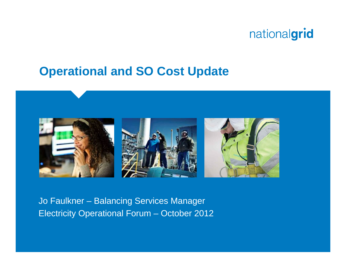

#### **Operational and SO Cost Update**



Jo Faulkner – Balancing Services Manager Electricity Operational Forum – October 2012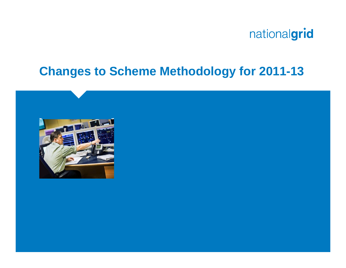

#### **Changes to Scheme Methodology for 2011-13**

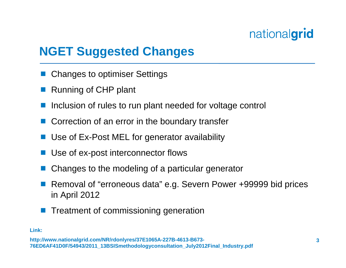## **NGET Suggested Changes**

- Changes to optimiser Settings
- Running of CHP plant
- Inclusion of rules to run plant needed for voltage control
- Correction of an error in the boundary transfer
- Use of Ex-Post MEL for generator availability
- Use of ex-post interconnector flows
- Changes to the modeling of a particular generator
- Removal of "erroneous data" e.g. Severn Power +99999 bid prices in April 2012
- Treatment of commissioning generation

#### **Link:**

**http://www.nationalgrid.com/NR/rd onlyres/37E1065A-227B-4613-B673- 76ED6AF41D0F/54943/2011\_13BSISmetho dolog y consultation\_Jul y2012Final \_Industry.pdf**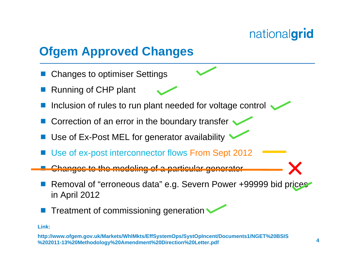## **Ofgem Approved Changes**

- Changes to optimiser Settings
- Running of CHP plant
- Inclusion of rules to run plant needed for voltage control
- Correction of an error in the boundary transfer  $\sim$
- Use of Ex-Post MEL for generator availability
- Use of ex-post interconnector flows From Sept 2012
- Changes to the modeling of a particular generator
- Removal of "erroneous data" e.g. Severn Power +99999 bid prices in April 2012
- Treatment of commissioning generation

#### **Link:**

**http://w w w.ofgem.gov. uk/Markets/WhlMkts/EffSy stemOps/Sy stOpIncent/Documents1/NGE T %20BSI S %202011-13%20Metho d olo g y %20Amendment %20Direction %20Letter.pdf**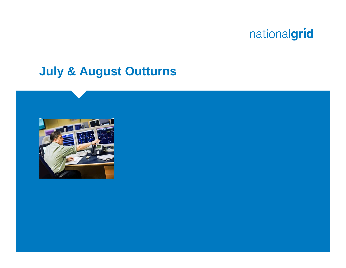

#### **July & August Outturns**

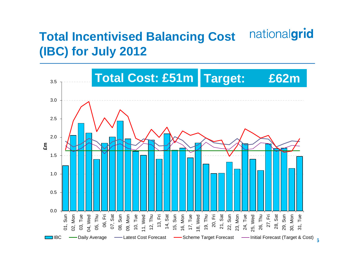#### nationalgrid **Total Incentivised Balancing Cost (IBC) for July 2012**



**6**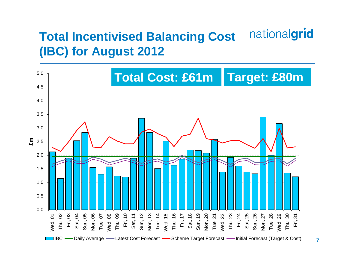#### nationalgrid **Total Incentivised Balancing Cost (IBC) for August 2012**

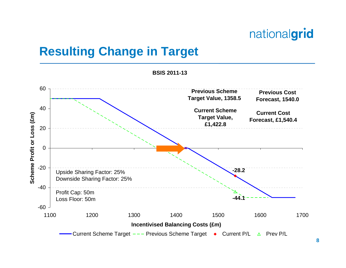## **Resulting Change in Target**

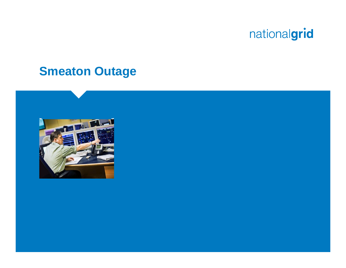#### **Smeaton Outage**

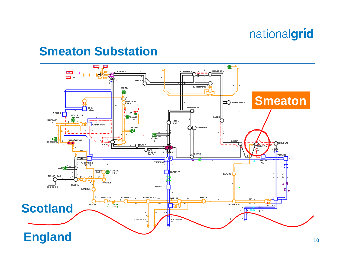#### **Smeaton Substation**

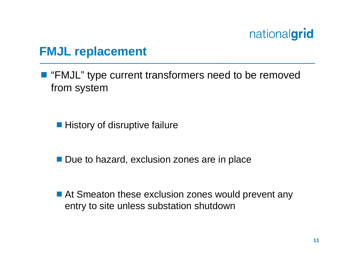#### **FMJL replacement**

■ "FMJL" type current transformers need to be removed from system

■ History of disruptive failure

■ Due to hazard, exclusion zones are in place

■ At Smeaton these exclusion zones would prevent any entry to site unless substation shutdown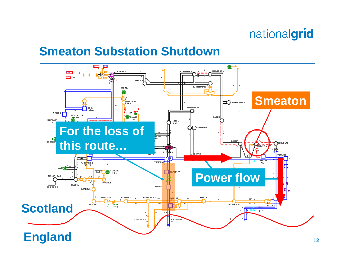#### **Smeaton Substation Shutdown**

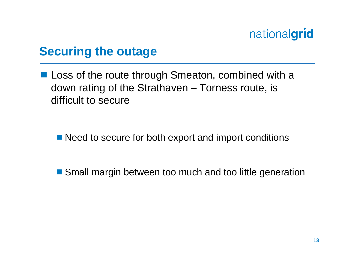#### **Securing the outage**

**Loss of the route through Smeaton, combined with a** down rating of the Strathaven – Torness route, is difficult to secure

■ Need to secure for both export and import conditions

■ Small margin between too much and too little generation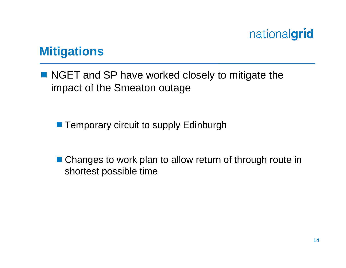#### **Mitigations**

■ NGET and SP have worked closely to mitigate the impact of the Smeaton outage

- **Temporary circuit to supply Edinburgh**
- Changes to work plan to allow return of through route in shortest possible time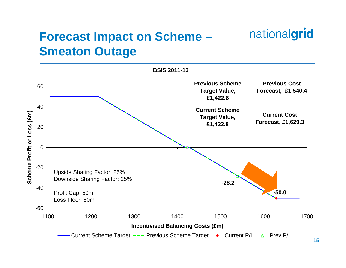## **Forecast Impact on Scheme – Smeaton Outage**



nationalgrid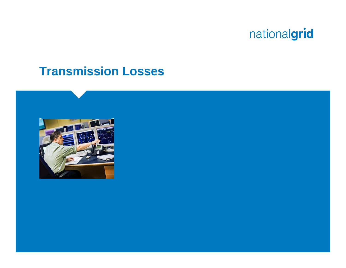

#### **Transmission Losses**

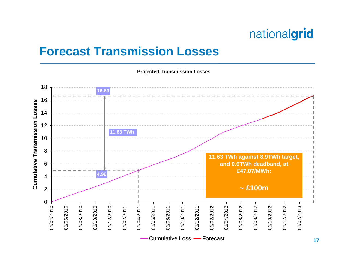#### **Forecast Transmission Losses**

**Proj ected Transmission Losses**

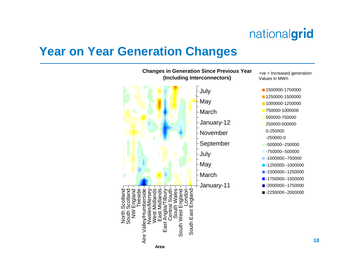#### **Year on Year Generation Changes**

**(Including Interconnectors)** Values in MWh**1500000-1750000** July May MarchJanuary-12 0-250000November-250000-0September July May MarchJanuary-11 side Scotland cotland Teeside Nwales/Mersey ves nds ഗ East Anglia/Tilbury and London England North Scotland South Scotland oland NW England Aire Valley/Humberside West Midlands East Midlands Central South South Wales South West England South East England ë ة North<br>South  $\geq$ South East South West Aire Valley/H East

**Changes in Generation Since Previous Year**

+ve = Increased generation

- 
- **1250000-1500000**
- **1000000-1250000**
- **750000-1000000**
- 500000-750000
- 250000-500000
- -500000--250000
- -750000--500000
- -1000000--750000
- -1250000--1000000
- **-1500000--1250000**
- $-1750000 1500000$
- -2000000--1750000
- ■-2250000--2000000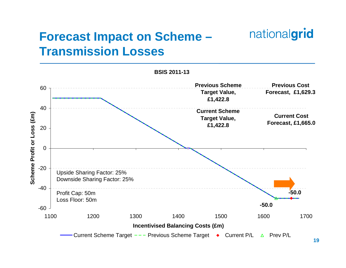## **Forecast Impact on Scheme – Transmission Losses**



nationalgrid